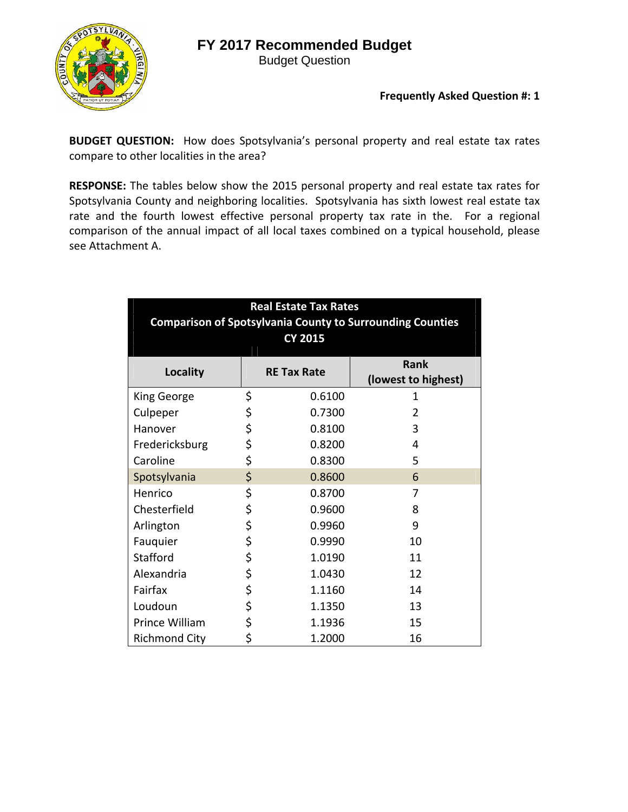## **FY 2017 Recommended Budget**



Budget Question

## **Frequently Asked Question #: 1**

**BUDGET QUESTION:** How does Spotsylvania's personal property and real estate tax rates compare to other localities in the area?

**RESPONSE:** The tables below show the 2015 personal property and real estate tax rates for Spotsylvania County and neighboring localities. Spotsylvania has sixth lowest real estate tax rate and the fourth lowest effective personal property tax rate in the. For a regional comparison of the annual impact of all local taxes combined on a typical household, please see Attachment A.

| <b>Real Estate Tax Rates</b>                                     |    |                    |                     |  |  |  |  |  |  |
|------------------------------------------------------------------|----|--------------------|---------------------|--|--|--|--|--|--|
| <b>Comparison of Spotsylvania County to Surrounding Counties</b> |    |                    |                     |  |  |  |  |  |  |
|                                                                  |    | <b>CY 2015</b>     |                     |  |  |  |  |  |  |
|                                                                  |    |                    | <b>Rank</b>         |  |  |  |  |  |  |
| Locality                                                         |    | <b>RE Tax Rate</b> | (lowest to highest) |  |  |  |  |  |  |
| King George                                                      | \$ | 0.6100             | 1                   |  |  |  |  |  |  |
| Culpeper                                                         | \$ | 0.7300             | $\overline{2}$      |  |  |  |  |  |  |
| Hanover                                                          | \$ | 0.8100             | 3                   |  |  |  |  |  |  |
| Fredericksburg                                                   | \$ | 0.8200             | 4                   |  |  |  |  |  |  |
| Caroline                                                         | \$ | 0.8300             | 5                   |  |  |  |  |  |  |
| Spotsylvania                                                     | \$ | 0.8600             | 6                   |  |  |  |  |  |  |
| Henrico                                                          | \$ | 0.8700             | 7                   |  |  |  |  |  |  |
| Chesterfield                                                     | \$ | 0.9600             | 8                   |  |  |  |  |  |  |
| Arlington                                                        | \$ | 0.9960             | 9                   |  |  |  |  |  |  |
| Fauquier                                                         | \$ | 0.9990             | 10                  |  |  |  |  |  |  |
| Stafford                                                         | \$ | 1.0190             | 11                  |  |  |  |  |  |  |
| Alexandria                                                       | \$ | 1.0430             | 12                  |  |  |  |  |  |  |
| Fairfax                                                          | \$ | 1.1160             | 14                  |  |  |  |  |  |  |
| Loudoun                                                          | \$ | 1.1350             | 13                  |  |  |  |  |  |  |
| Prince William                                                   | \$ | 1.1936             | 15                  |  |  |  |  |  |  |
| <b>Richmond City</b>                                             | \$ | 1.2000             | 16                  |  |  |  |  |  |  |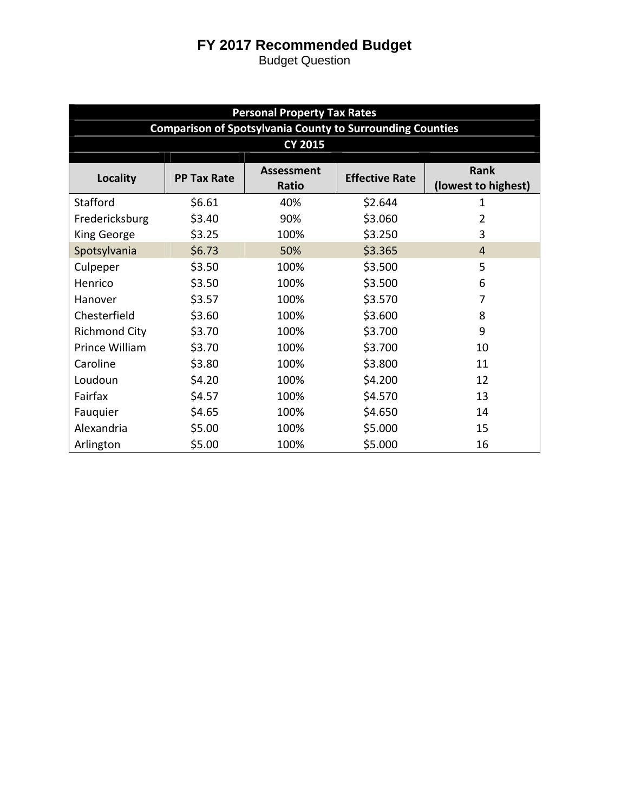## **FY 2017 Recommended Budget**

Budget Question

| <b>Personal Property Tax Rates</b>                               |                    |                            |                       |                             |  |  |  |  |  |  |
|------------------------------------------------------------------|--------------------|----------------------------|-----------------------|-----------------------------|--|--|--|--|--|--|
| <b>Comparison of Spotsylvania County to Surrounding Counties</b> |                    |                            |                       |                             |  |  |  |  |  |  |
| <b>CY 2015</b>                                                   |                    |                            |                       |                             |  |  |  |  |  |  |
| <b>Locality</b>                                                  | <b>PP Tax Rate</b> | <b>Assessment</b><br>Ratio | <b>Effective Rate</b> | Rank<br>(lowest to highest) |  |  |  |  |  |  |
| Stafford                                                         | \$6.61             | 40%                        | \$2.644               | 1                           |  |  |  |  |  |  |
| Fredericksburg                                                   | \$3.40             | 90%                        | \$3.060               | 2                           |  |  |  |  |  |  |
| King George                                                      | \$3.25             | 100%                       | \$3.250               | 3                           |  |  |  |  |  |  |
| Spotsylvania                                                     | \$6.73             | 50%                        | \$3.365               | $\overline{4}$              |  |  |  |  |  |  |
| Culpeper                                                         | \$3.50             | 100%                       | \$3.500               | 5                           |  |  |  |  |  |  |
| Henrico                                                          | \$3.50             | 100%                       | \$3.500               | 6                           |  |  |  |  |  |  |
| Hanover                                                          | \$3.57             | 100%                       | \$3.570               | 7                           |  |  |  |  |  |  |
| Chesterfield                                                     | \$3.60             | 100%                       | \$3.600               | 8                           |  |  |  |  |  |  |
| <b>Richmond City</b>                                             | \$3.70             | 100%                       | \$3.700               | 9                           |  |  |  |  |  |  |
| Prince William                                                   | \$3.70             | 100%                       | \$3.700               | 10                          |  |  |  |  |  |  |
| Caroline                                                         | \$3.80             | 100%                       | \$3.800               | 11                          |  |  |  |  |  |  |
| Loudoun                                                          | \$4.20             | 100%                       | \$4.200               | 12                          |  |  |  |  |  |  |
| Fairfax                                                          | \$4.57             | 100%                       | \$4.570               | 13                          |  |  |  |  |  |  |
| Fauquier                                                         | \$4.65             | 100%                       | \$4.650               | 14                          |  |  |  |  |  |  |
| Alexandria                                                       | \$5.00             | 100%                       | \$5.000               | 15                          |  |  |  |  |  |  |
| Arlington                                                        | \$5.00             | 100%                       | \$5.000               | 16                          |  |  |  |  |  |  |